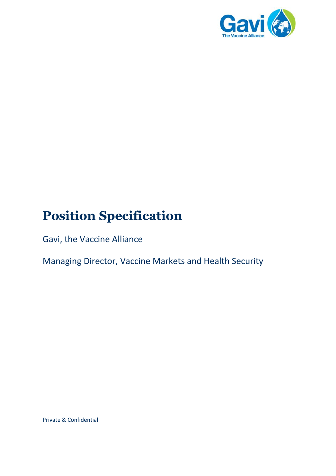

# **Position Specification**

Gavi, the Vaccine Alliance

Managing Director, Vaccine Markets and Health Security

Private & Confidential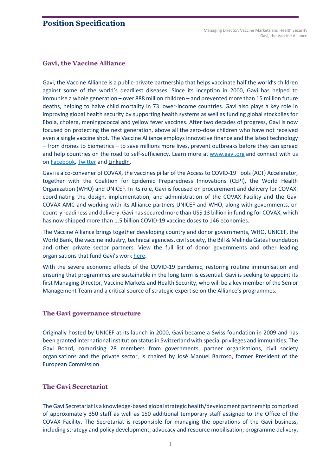# **Position Specification**

### **Gavi, the Vaccine Alliance**

Gavi, the Vaccine Alliance is a public-private partnership that helps vaccinate half the world's children against some of the world's deadliest diseases. Since its inception in 2000, Gavi has helped to immunise a whole generation – over 888 million children – and prevented more than 15 million future deaths, helping to halve child mortality in 73 lower-income countries. Gavi also plays a key role in improving global health security by supporting health systems as well as funding global stockpiles for Ebola, cholera, meningococcal and yellow fever vaccines. After two decades of progress, Gavi is now focused on protecting the next generation, above all the zero-dose children who have not received even a single vaccine shot. The Vaccine Alliance employs innovative finance and the latest technology – from drones to biometrics – to save millions more lives, prevent outbreaks before they can spread and help countries on the road to self-sufficiency. Learn more at [www.gavi.org](https://www.gavi.org/homepage) and connect with us on **Facebook**, **[Twitter](https://twitter.com/gavi)** and **LinkedIn**.

Gavi is a co-convener of COVAX, the vaccines pillar of the Access to COVID-19 Tools (ACT) Accelerator, together with the Coalition for Epidemic Preparedness Innovations (CEPI), the World Health Organization (WHO) and UNICEF. In its role, Gavi is focused on procurement and delivery for COVAX: coordinating the design, implementation, and administration of the COVAX Facility and the Gavi COVAX AMC and working with its Alliance partners UNICEF and WHO, along with governments, on country readiness and delivery. Gavi has secured more than US\$ 13 billion in funding for COVAX, which has now shipped more than 1.5 billion COVID-19 vaccine doses to 146 economies.

The Vaccine Alliance brings together developing country and donor governments, WHO, UNICEF, the World Bank, the vaccine industry, technical agencies, civil society, the Bill & Melinda Gates Foundation and other private sector partners. View the full list of donor governments and other leading organisations that fund Gavi's work [here.](https://www.gavi.org/investing-gavi/funding/donor-profiles)

With the severe economic effects of the COVID-19 pandemic, restoring routine immunisation and ensuring that programmes are sustainable in the long term is essential. Gavi is seeking to appoint its first Managing Director, Vaccine Markets and Health Security, who will be a key member of the Senior Management Team and a critical source of strategic expertise on the Alliance's programmes.

#### **The Gavi governance structure**

Originally hosted by UNICEF at its launch in 2000, Gavi became a Swiss foundation in 2009 and has been granted international institution statusin Switzerland with special privileges and immunities. The Gavi Board, comprising 28 members from governments, partner organisations, civil society organisations and the private sector, is chaired by José Manuel Barroso, former President of the European Commission.

# **The Gavi Secretariat**

The Gavi Secretariatis a knowledge-based globalstrategic health/development partnership comprised of approximately 350 staff as well as 150 additional temporary staff assigned to the Office of the COVAX Facility. The Secretariat is responsible for managing the operations of the Gavi business, including strategy and policy development; advocacy and resource mobilisation; programme delivery,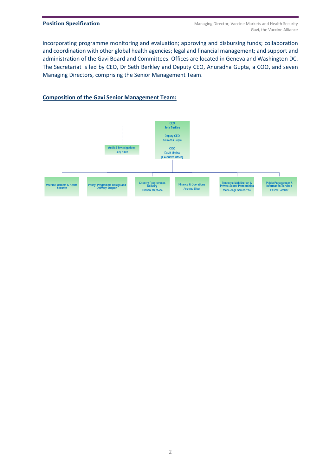incorporating programme monitoring and evaluation; approving and disbursing funds; collaboration and coordination with other global health agencies; legal and financial management; and support and administration of the Gavi Board and Committees. Offices are located in Geneva and Washington DC. The Secretariat is led by CEO, Dr Seth Berkley and Deputy CEO, Anuradha Gupta, a COO, and seven Managing Directors, comprising the Senior Management Team.

### **Composition of the Gavi Senior Management Team:**

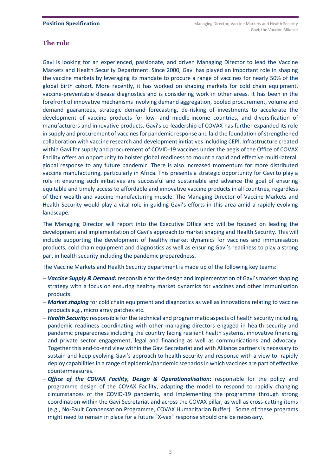# **The role**

Gavi is looking for an experienced, passionate, and driven Managing Director to lead the Vaccine Markets and Health Security Department. Since 2000, Gavi has played an important role in shaping the vaccine markets by leveraging its mandate to procure a range of vaccines for nearly 50% of the global birth cohort. More recently, it has worked on shaping markets for cold chain equipment, vaccine-preventable disease diagnostics and is considering work in other areas. It has been in the forefront of innovative mechanisms involving demand aggregation, pooled procurement, volume and demand guarantees, strategic demand forecasting, de-risking of investments to accelerate the development of vaccine products for low- and middle-income countries, and diversification of manufacturers and innovative products. Gavi's co-leadership of COVAX has further expanded its role in supply and procurement of vaccines for pandemic response and laid the foundation of strengthened collaboration with vaccine research and development initiatives including CEPI. Infrastructure created within Gavi for supply and procurement of COVID-19 vaccines under the aegis of the Office of COVAX Facility offers an opportunity to bolster global readiness to mount a rapid and effective multi-lateral, global response to any future pandemic. There is also increased momentum for more distributed vaccine manufacturing, particularly in Africa. This presents a strategic opportunity for Gavi to play a role in ensuring such initiatives are successful and sustainable and advance the goal of ensuring equitable and timely access to affordable and innovative vaccine products in all countries, regardless of their wealth and vaccine manufacturing muscle. The Managing Director of Vaccine Markets and Health Security would play a vital role in guiding Gavi's efforts in this area amid a rapidly evolving landscape.

The Managing Director will report into the Executive Office and will be focused on leading the development and implementation of Gavi's approach to market shaping and Health Security. This will include supporting the development of healthy market dynamics for vaccines and immunisation products, cold chain equipment and diagnostics as well as ensuring Gavi's readiness to play a strong part in health security including the pandemic preparedness.

The Vaccine Markets and Health Security department is made up of the following key teams:

- − *Vaccine Supply & Demand:* responsible for the design and implementation of Gavi's market shaping strategy with a focus on ensuring healthy market dynamics for vaccines and other immunisation products.
- − *Market shaping* for cold chain equipment and diagnostics as well as innovations relating to vaccine products e.g., micro array patches etc.
- − *Health Security:* responsible for the technical and programmatic aspects of health security including pandemic readiness coordinating with other managing directors engaged in health security and pandemic preparedness including the country facing resilient health systems, innovative financing and private sector engagement, legal and financing as well as communications and advocacy. Together this end-to-end view within the Gavi Secretariat and with Alliance partners is necessary to sustain and keep evolving Gavi's approach to health security and response with a view to rapidly deploy capabilities in a range of epidemic/pandemic scenariosin which vaccines are part of effective countermeasures.
- − *Office of the COVAX Facility, Design & Operationalisation***:** responsible for the policy and programme design of the COVAX Facility, adapting the model to respond to rapidly changing circumstances of the COVID-19 pandemic, and implementing the programme through strong coordination within the Gavi Secretariat and across the COVAX pillar, as well as cross-cutting items (e.g., No-Fault Compensation Programme, COVAX Humanitarian Buffer). Some of these programs might need to remain in place for a future "X-vax" response should one be necessary.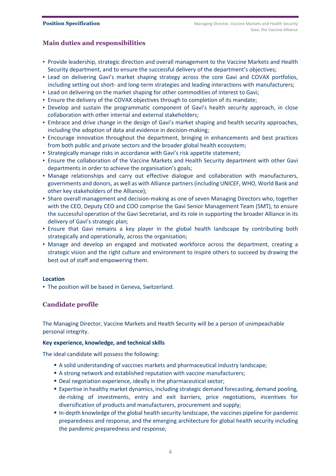# **Main duties and responsibilities**

- Provide leadership, strategic direction and overall management to the Vaccine Markets and Health Security department, and to ensure the successful delivery of the department's objectives;
- Lead on delivering Gavi's market shaping strategy across the core Gavi and COVAX portfolios, including setting out short- and long-term strategies and leading interactions with manufacturers;
- Lead on delivering on the market shaping for other commodities of interest to Gavi;
- Ensure the delivery of the COVAX objectives through to completion of its mandate;
- Develop and sustain the programmatic component of Gavi's health security approach, in close collaboration with other internal and external stakeholders;
- Embrace and drive change in the design of Gavi's market shaping and health security approaches, including the adoption of data and evidence in decision-making;
- Encourage innovation throughout the department, bringing in enhancements and best practices from both public and private sectors and the broader global health ecosystem;
- Strategically manage risks in accordance with Gavi's risk appetite statement;
- **.** Ensure the collaboration of the Vaccine Markets and Health Security department with other Gavi departments in order to achieve the organisation's goals;
- Manage relationships and carry out effective dialogue and collaboration with manufacturers, governments and donors, as well as with Alliance partners (including UNICEF, WHO, World Bank and other key stakeholders of the Alliance);
- **Share overall management and decision-making as one of seven Managing Directors who, together** with the CEO, Deputy CEO and COO comprise the Gavi Senior Management Team (SMT), to ensure the successful operation of the Gavi Secretariat, and its role in supporting the broader Alliance in its delivery of Gavi's strategic plan;
- Ensure that Gavi remains a key player in the global health landscape by contributing both strategically and operationally, across the organisation;
- Manage and develop an engaged and motivated workforce across the department, creating a strategic vision and the right culture and environment to inspire others to succeed by drawing the best out of staff and empowering them.

#### **Location**

▪ The position will be based in Geneva, Switzerland.

# **Candidate profile**

The Managing Director, Vaccine Markets and Health Security will be a person of unimpeachable personal integrity.

#### **Key experience, knowledge, and technical skills**

The ideal candidate will possess the following:

- A solid understanding of vaccines markets and pharmaceutical industry landscape;
- A strong network and established reputation with vaccine manufacturers;
- Deal negotiation experience, ideally in the pharmaceutical sector;
- **Expertise in healthy market dynamics, including strategic demand forecasting, demand pooling,** de-risking of investments, entry and exit barriers, price negotiations, incentives for diversification of products and manufacturers, procurement and supply;
- In-depth knowledge of the global health security landscape, the vaccines pipeline for pandemic preparedness and response, and the emerging architecture for global health security including the pandemic preparedness and response;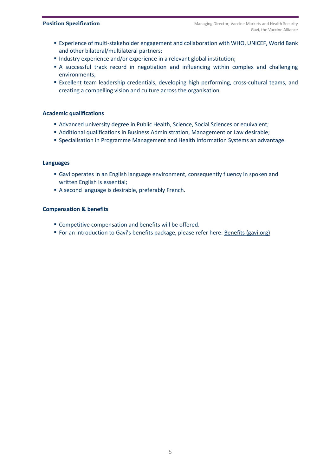- **Experience of multi-stakeholder engagement and collaboration with WHO, UNICEF, World Bank** and other bilateral/multilateral partners;
- Industry experience and/or experience in a relevant global institution;
- **EXECT** A successful track record in negotiation and influencing within complex and challenging environments;
- **Excellent team leadership credentials, developing high performing, cross-cultural teams, and** creating a compelling vision and culture across the organisation

#### **Academic qualifications**

- Advanced university degree in Public Health, Science, Social Sciences or equivalent;
- Additional qualifications in Business Administration, Management or Law desirable;
- Specialisation in Programme Management and Health Information Systems an advantage.

#### **Languages**

- Gavi operates in an English language environment, consequently fluency in spoken and written English is essential;
- A second language is desirable, preferably French.

#### **Compensation & benefits**

- Competitive compensation and benefits will be offered.
- **For an introduction to Gavi's benefits package, please refer here: Benefits [\(gavi.org\)](https://www.gavi.org/our-alliance/work-us/benefits)**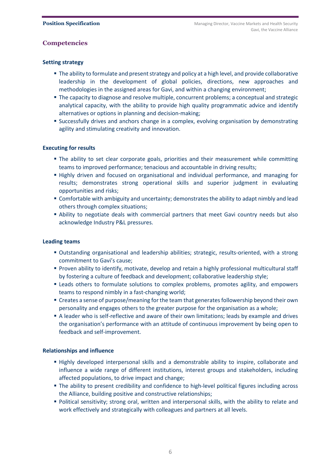# **Competencies**

### **Setting strategy**

- The ability to formulate and present strategy and policy at a high level, and provide collaborative leadership in the development of global policies, directions, new approaches and methodologies in the assigned areas for Gavi, and within a changing environment;
- **The capacity to diagnose and resolve multiple, concurrent problems; a conceptual and strategic** analytical capacity, with the ability to provide high quality programmatic advice and identify alternatives or options in planning and decision-making;
- **E** Successfully drives and anchors change in a complex, evolving organisation by demonstrating agility and stimulating creativity and innovation.

#### **Executing for results**

- **The ability to set clear corporate goals, priorities and their measurement while committing** teams to improved performance; tenacious and accountable in driving results;
- **EXTERGH** Highly driven and focused on organisational and individual performance, and managing for results; demonstrates strong operational skills and superior judgment in evaluating opportunities and risks;
- **EX Comfortable with ambiguity and uncertainty; demonstrates the ability to adapt nimbly and lead** others through complex situations;
- **•** Ability to negotiate deals with commercial partners that meet Gavi country needs but also acknowledge Industry P&L pressures.

#### **Leading teams**

- Outstanding organisational and leadership abilities; strategic, results-oriented, with a strong commitment to Gavi's cause;
- Proven ability to identify, motivate, develop and retain a highly professional multicultural staff by fostering a culture of feedback and development; collaborative leadership style;
- **Example 1** Leads others to formulate solutions to complex problems, promotes agility, and empowers teams to respond nimbly in a fast-changing world;
- Creates a sense of purpose/meaning for the team that generates followership beyond their own personality and engages others to the greater purpose for the organisation as a whole;
- **Example 4** A leader who is self-reflective and aware of their own limitations; leads by example and drives the organisation's performance with an attitude of continuous improvement by being open to feedback and self-improvement.

#### **Relationships and influence**

- Highly developed interpersonal skills and a demonstrable ability to inspire, collaborate and influence a wide range of different institutions, interest groups and stakeholders, including affected populations, to drive impact and change;
- **The ability to present credibility and confidence to high-level political figures including across** the Alliance, building positive and constructive relationships;
- Political sensitivity; strong oral, written and interpersonal skills, with the ability to relate and work effectively and strategically with colleagues and partners at all levels.